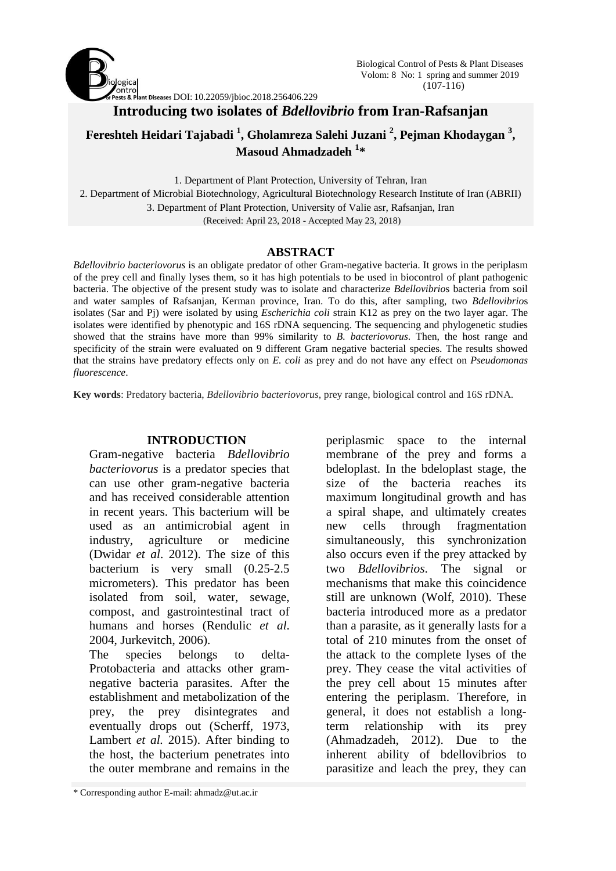

# **Introducing two isolates of** *Bdellovibrio* **from Iran-Rafsanjan**

**Fereshteh Heidari Tajabadi <sup>1</sup> , Gholamreza Salehi Juzani <sup>2</sup> , Pejman Khodaygan <sup>3</sup> , Masoud Ahmadzadeh <sup>1</sup> \***

1. Department of Plant Protection, University of Tehran, Iran 2. Department of Microbial Biotechnology, Agricultural Biotechnology Research Institute of Iran (ABRII) 3. Department of Plant Protection, University of Valie asr, Rafsanjan, Iran (Received: April 23, 2018 - Accepted May 23, 2018)

### **ABSTRACT**

*Bdellovibrio bacteriovorus* is an obligate predator of other Gram-negative bacteria. It grows in the periplasm of the prey cell and finally lyses them, so it has high potentials to be used in biocontrol of plant pathogenic bacteria. The objective of the present study was to isolate and characterize *Bdellovibrio*s bacteria from soil and water samples of Rafsanjan, Kerman province, Iran. To do this, after sampling, two *Bdellovibrio*s isolates (Sar and Pj) were isolated by using *Escherichia coli* strain K12 as prey on the two layer agar. The isolates were identified by phenotypic and 16S rDNA sequencing. The sequencing and phylogenetic studies showed that the strains have more than 99% similarity to *B. bacteriovorus*. Then, the host range and specificity of the strain were evaluated on 9 different Gram negative bacterial species. The results showed that the strains have predatory effects only on *E. coli* as prey and do not have any effect on *Pseudomonas fluorescence*.

**Key words**: Predatory bacteria, *Bdellovibrio bacteriovorus*, prey range, biological control and 16S rDNA.

### **INTRODUCTION**

Gram-negative bacteria *Bdellovibrio bacteriovorus* is a predator species that can use other gram-negative bacteria and has received considerable attention in recent years. This bacterium will be used as an antimicrobial agent in industry, agriculture or medicine (Dwidar *et al*. 2012). The size of this bacterium is very small (0.25-2.5 micrometers). This predator has been isolated from soil, water, sewage, compost, and gastrointestinal tract of humans and horses (Rendulic *et al*. 2004, Jurkevitch, 2006).

The species belongs to delta-Protobacteria and attacks other gramnegative bacteria parasites. After the establishment and metabolization of the prey, the prey disintegrates and eventually drops out (Scherff, 1973, Lambert *et al.* 2015). After binding to the host, the bacterium penetrates into the outer membrane and remains in the

\* Corresponding author E-mail: ahmadz@ut.ac.ir

periplasmic space to the internal membrane of the prey and forms a bdeloplast. In the bdeloplast stage, the size of the bacteria reaches its maximum longitudinal growth and has a spiral shape, and ultimately creates new cells through fragmentation simultaneously, this synchronization also occurs even if the prey attacked by two *Bdellovibrios*. The signal or mechanisms that make this coincidence still are unknown (Wolf, 2010). These bacteria introduced more as a predator than a parasite, as it generally lasts for a total of 210 minutes from the onset of the attack to the complete lyses of the prey. They cease the vital activities of the prey cell about 15 minutes after entering the periplasm. Therefore, in general, it does not establish a longterm relationship with its prey (Ahmadzadeh, 2012). Due to the inherent ability of bdellovibrios to parasitize and leach the prey, they can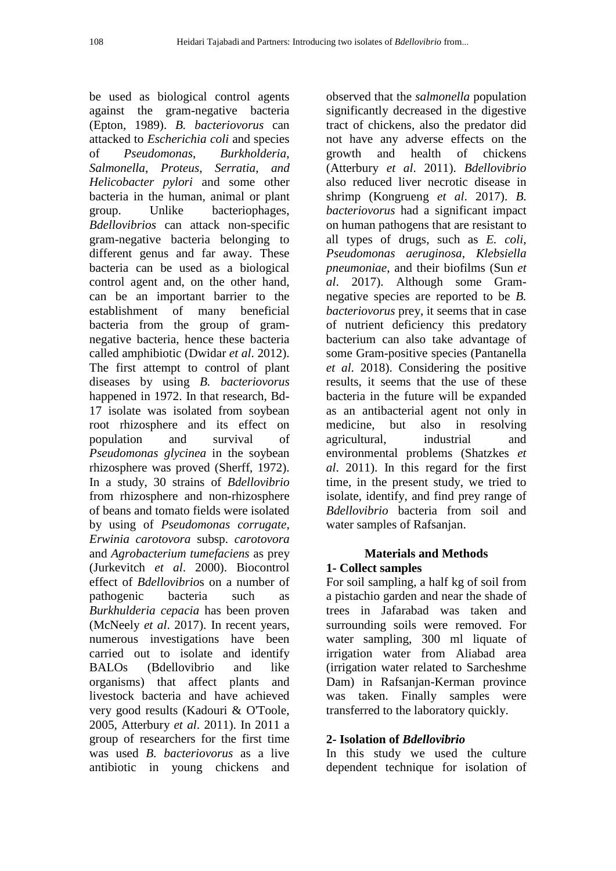be used as biological control agents against the gram-negative bacteria (Epton, 1989). *B. bacteriovorus* can attacked to *Escherichia coli* and species of *Pseudomonas*, *Burkholderia*, *Salmonella*, *Proteus*, *Serratia*, *and Helicobacter pylori* and some other bacteria in the human, animal or plant group. Unlike bacteriophages, *Bdellovibrios* can attack non-specific gram-negative bacteria belonging to different genus and far away. These bacteria can be used as a biological control agent and, on the other hand, can be an important barrier to the establishment of many beneficial bacteria from the group of gramnegative bacteria, hence these bacteria called amphibiotic (Dwidar *et al*. 2012). The first attempt to control of plant diseases by using *B. bacteriovorus* happened in 1972. In that research, Bd-17 isolate was isolated from soybean root rhizosphere and its effect on population and survival of *Pseudomonas glycinea* in the soybean rhizosphere was proved (Sherff, 1972). In a study, 30 strains of *Bdellovibrio* from rhizosphere and non-rhizosphere of beans and tomato fields were isolated by using of *Pseudomonas corrugate*, *Erwinia carotovora* subsp. *carotovora* and *Agrobacterium tumefaciens* as prey (Jurkevitch *et al*. 2000). Biocontrol effect of *Bdellovibrio*s on a number of pathogenic bacteria such as *Burkhulderia cepacia* has been proven (McNeely *et al*. 2017). In recent years, numerous investigations have been carried out to isolate and identify BALOs (Bdellovibrio and like organisms) that affect plants and livestock bacteria and have achieved very good results (Kadouri & O'Toole, 2005, Atterbury *et al*. 2011). In 2011 a group of researchers for the first time was used *B. bacteriovorus* as a live antibiotic in young chickens and

observed that the *salmonella* population significantly decreased in the digestive tract of chickens, also the predator did not have any adverse effects on the growth and health of chickens (Atterbury *et al*. 2011). *Bdellovibrio* also reduced liver necrotic disease in shrimp (Kongrueng *et al*. 2017). *B. bacteriovorus* had a significant impact on human pathogens that are resistant to all types of drugs, such as *E. coli*, *Pseudomonas aeruginosa*, *Klebsiella pneumoniae*, and their biofilms (Sun *et al*. 2017). Although some Gramnegative species are reported to be *B. bacteriovorus* prey, it seems that in case of nutrient deficiency this predatory bacterium can also take advantage of some Gram-positive species (Pantanella *et al*. 2018). Considering the positive results, it seems that the use of these bacteria in the future will be expanded as an antibacterial agent not only in medicine, but also in resolving agricultural, industrial and environmental problems (Shatzkes *et al*. 2011). In this regard for the first time, in the present study, we tried to isolate, identify, and find prey range of *Bdellovibrio* bacteria from soil and water samples of Rafsanjan.

# **Materials and Methods 1- Collect samples**

For soil sampling, a half kg of soil from a pistachio garden and near the shade of trees in Jafarabad was taken and surrounding soils were removed. For water sampling, 300 ml liquate of irrigation water from Aliabad area (irrigation water related to Sarcheshme Dam) in Rafsanjan-Kerman province was taken. Finally samples were transferred to the laboratory quickly.

# **2- Isolation of** *Bdellovibrio*

In this study we used the culture dependent technique for isolation of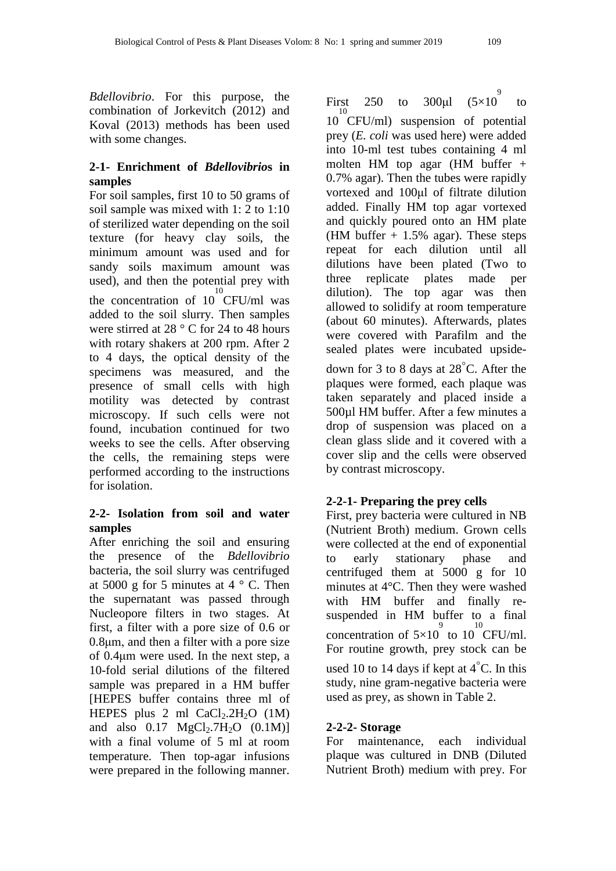*Bdellovibrio*. For this purpose, the combination of Jorkevitch (2012) and Koval (2013) methods has been used with some changes.

## **2-1- Enrichment of** *Bdellovibrio***s in samples**

For soil samples, first 10 to 50 grams of soil sample was mixed with 1: 2 to 1:10 of sterilized water depending on the soil texture (for heavy clay soils, the minimum amount was used and for sandy soils maximum amount was used), and then the potential prey with the concentration of  $10^{10}$  CFU/ml was added to the soil slurry. Then samples were stirred at 28 ° C for 24 to 48 hours with rotary shakers at 200 rpm. After 2 to 4 days, the optical density of the specimens was measured, and the presence of small cells with high motility was detected by contrast microscopy. If such cells were not found, incubation continued for two weeks to see the cells. After observing the cells, the remaining steps were performed according to the instructions for isolation.

## **2-2- Isolation from soil and water samples**

After enriching the soil and ensuring the presence of the *Bdellovibrio* bacteria, the soil slurry was centrifuged at 5000 g for 5 minutes at  $4^\circ$  C. Then the supernatant was passed through Nucleopore filters in two stages. At first, a filter with a pore size of 0.6 or 0.8μm, and then a filter with a pore size of 0.4μm were used. In the next step, a 10-fold serial dilutions of the filtered sample was prepared in a HM buffer [HEPES buffer contains three ml of HEPES plus 2 ml  $CaCl<sub>2</sub>$ .2H<sub>2</sub>O (1M) and also  $0.17 \text{ MgCl}_2.7H_2O (0.1M)$ ] with a final volume of 5 ml at room temperature. Then top-agar infusions were prepared in the following manner.

First 250 to 300µl  $(5\times10^{9}$ to 10 10 CFU/ml) suspension of potential prey (*E. coli* was used here) were added into 10-ml test tubes containing 4 ml molten HM top agar (HM buffer + 0.7% agar). Then the tubes were rapidly vortexed and 100μl of filtrate dilution added. Finally HM top agar vortexed and quickly poured onto an HM plate (HM buffer  $+$  1.5% agar). These steps repeat for each dilution until all dilutions have been plated (Two to three replicate plates made per dilution). The top agar was then allowed to solidify at room temperature (about 60 minutes). Afterwards, plates were covered with Parafilm and the sealed plates were incubated upside-

down for 3 to 8 days at 28◦C. After the plaques were formed, each plaque was taken separately and placed inside a 500µl HM buffer. After a few minutes a drop of suspension was placed on a clean glass slide and it covered with a cover slip and the cells were observed by contrast microscopy.

# **2-2-1- Preparing the prey cells**

First, prey bacteria were cultured in NB (Nutrient Broth) medium. Grown cells were collected at the end of exponential to early stationary phase and centrifuged them at 5000 g for 10 minutes at 4°C. Then they were washed with HM buffer and finally resuspended in HM buffer to a final concentration of  $5\times10^{-9}$  to  $10^{10}$ CFU/ml. For routine growth, prey stock can be used 10 to 14 days if kept at  $4^{\circ}$ C. In this study, nine gram-negative bacteria were used as prey, as shown in Table 2.

## **2-2-2- Storage**

For maintenance, each individual plaque was cultured in DNB (Diluted Nutrient Broth) medium with prey. For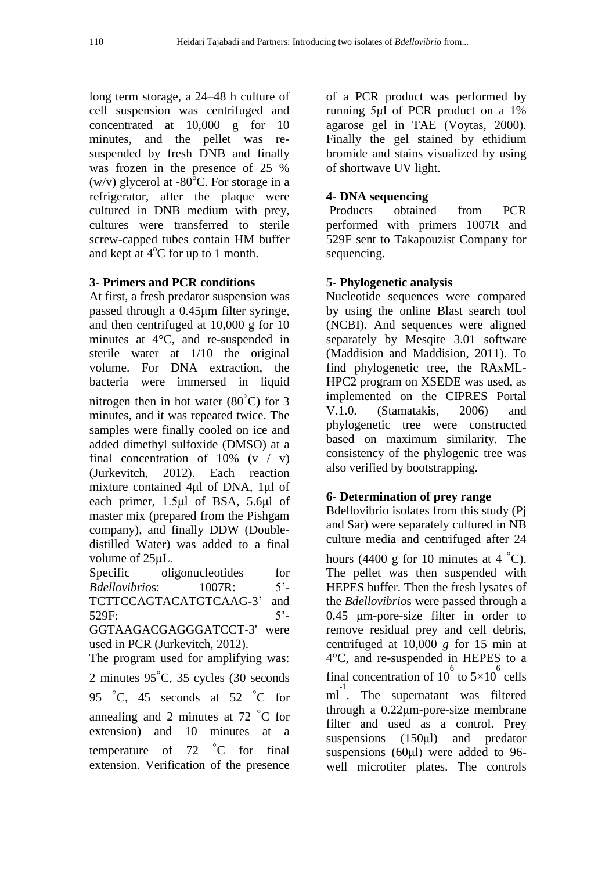long term storage, a 24–48 h culture of cell suspension was centrifuged and concentrated at 10,000 g for 10 minutes, and the pellet was resuspended by fresh DNB and finally was frozen in the presence of 25 % (w/v) glycerol at -80 $^{\circ}$ C. For storage in a refrigerator, after the plaque were cultured in DNB medium with prey, cultures were transferred to sterile screw-capped tubes contain HM buffer and kept at 4<sup>o</sup>C for up to 1 month.

## **3- Primers and PCR conditions**

At first, a fresh predator suspension was passed through a 0.45μm filter syringe, and then centrifuged at 10,000 g for 10 minutes at 4°C, and re-suspended in sterile water at 1/10 the original volume. For DNA extraction, the bacteria were immersed in liquid nitrogen then in hot water ( $80^{\circ}$ C) for 3 minutes, and it was repeated twice. The samples were finally cooled on ice and added dimethyl sulfoxide (DMSO) at a final concentration of  $10\%$  (v / v) (Jurkevitch, 2012). Each reaction mixture contained 4μl of DNA, 1μl of each primer, 1.5μl of BSA, 5.6μl of master mix (prepared from the Pishgam company), and finally DDW (Doubledistilled Water) was added to a final volume of 25μL.

Specific oligonucleotides for *Bdellovibrio*s: 1007R: 5'- TCTTCCAGTACATGTCAAG-3' and 529F: 5'- GGTAAGACGAGGGATCCT-3' were used in PCR (Jurkevitch, 2012).

The program used for amplifying was: 2 minutes 95◦C, 35 cycles (30 seconds 95  $\degree$ C, 45 seconds at 52  $\degree$ C for annealing and 2 minutes at 72 ◦C for extension) and 10 minutes at a temperature of 72 °C for final extension. Verification of the presence of a PCR product was performed by running 5μl of PCR product on a 1% agarose gel in TAE (Voytas, 2000). Finally the gel stained by ethidium bromide and stains visualized by using of shortwave UV light.

## **4- DNA sequencing**

Products obtained from PCR performed with primers 1007R and 529F sent to Takapouzist Company for sequencing.

## **5- Phylogenetic analysis**

Nucleotide sequences were compared by using the online Blast search tool (NCBI). And sequences were aligned separately by Mesqite 3.01 software (Maddision and Maddision, 2011). To find phylogenetic tree, the RAxML-HPC2 program on XSEDE was used, as implemented on the CIPRES Portal V.1.0. (Stamatakis, 2006) and phylogenetic tree were constructed based on maximum similarity. The consistency of the phylogenic tree was also verified by bootstrapping.

## **6- Determination of prey range**

Bdellovibrio isolates from this study (Pj and Sar) were separately cultured in NB culture media and centrifuged after 24 hours (4400 g for 10 minutes at 4  $^{\circ}$ C). The pellet was then suspended with HEPES buffer. Then the fresh lysates of the *Bdellovibrio*s were passed through a 0.45 μm-pore-size filter in order to remove residual prey and cell debris, centrifuged at 10,000 *g* for 15 min at 4°C, and re-suspended in HEPES to a final concentration of 10<sup>6</sup> to  $5\times10^6$  cells m<sup>1</sup>. The supernatant was filtered through a 0.22μm-pore-size membrane filter and used as a control. Prey suspensions (150μl) and predator suspensions (60μl) were added to 96 well microtiter plates. The controls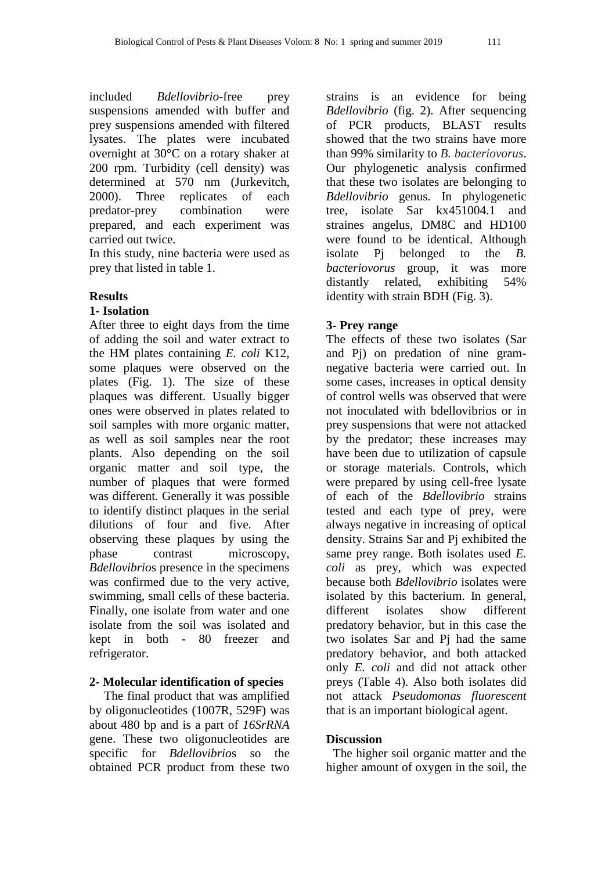included *Bdellovibrio*-free prey suspensions amended with buffer and prey suspensions amended with filtered lysates. The plates were incubated overnight at 30°C on a rotary shaker at 200 rpm. Turbidity (cell density) was determined at 570 nm (Jurkevitch, 2000). Three replicates of each predator-prey combination were prepared, and each experiment was carried out twice.

In this study, nine bacteria were used as prey that listed in table 1.

### **Results**

#### **1- Isolation**

After three to eight days from the time of adding the soil and water extract to the HM plates containing *E. coli* K12, some plaques were observed on the plates (Fig. 1). The size of these plaques was different. Usually bigger ones were observed in plates related to soil samples with more organic matter, as well as soil samples near the root plants. Also depending on the soil organic matter and soil type, the number of plaques that were formed was different. Generally it was possible to identify distinct plaques in the serial dilutions of four and five. After observing these plaques by using the phase contrast microscopy, *Bdellovibrio*s presence in the specimens was confirmed due to the very active, swimming, small cells of these bacteria. Finally, one isolate from water and one isolate from the soil was isolated and kept in both - 80 freezer and refrigerator.

#### **2- Molecular identification of species**

The final product that was amplified by oligonucleotides (1007R, 529F) was about 480 bp and is a part of *16SrRNA* gene. These two oligonucleotides are specific for *Bdellovibrio*s so the obtained PCR product from these two

strains is an evidence for being *Bdellovibrio* (fig. 2). After sequencing of PCR products, BLAST results showed that the two strains have more than 99% similarity to *B. bacteriovorus*. Our phylogenetic analysis confirmed that these two isolates are belonging to *Bdellovibrio* genus. In phylogenetic tree, isolate Sar kx451004.1 and straines angelus, DM8C and HD100 were found to be identical. Although isolate Pj belonged to the *B. bacteriovorus* group, it was more distantly related, exhibiting 54% identity with strain BDH (Fig. 3).

### **3- Prey range**

The effects of these two isolates (Sar and Pj) on predation of nine gramnegative bacteria were carried out. In some cases, increases in optical density of control wells was observed that were not inoculated with bdellovibrios or in prey suspensions that were not attacked by the predator; these increases may have been due to utilization of capsule or storage materials. Controls, which were prepared by using cell-free lysate of each of the *Bdellovibrio* strains tested and each type of prey, were always negative in increasing of optical density. Strains Sar and Pj exhibited the same prey range. Both isolates used *E. coli* as prey, which was expected because both *Bdellovibrio* isolates were isolated by this bacterium. In general, different isolates show different predatory behavior, but in this case the two isolates Sar and Pj had the same predatory behavior, and both attacked only *E. coli* and did not attack other preys (Table 4). Also both isolates did not attack *Pseudomonas fluorescent* that is an important biological agent.

#### **Discussion**

The higher soil organic matter and the higher amount of oxygen in the soil, the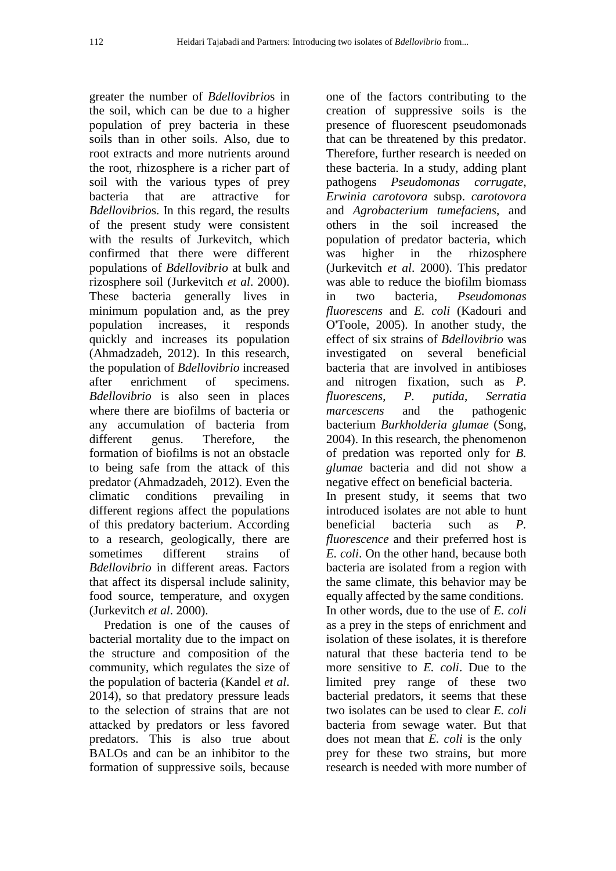greater the number of *Bdellovibrio*s in the soil, which can be due to a higher population of prey bacteria in these soils than in other soils. Also, due to root extracts and more nutrients around the root, rhizosphere is a richer part of soil with the various types of prey bacteria that are attractive for *Bdellovibrio*s. In this regard, the results of the present study were consistent with the results of Jurkevitch, which confirmed that there were different populations of *Bdellovibrio* at bulk and rizosphere soil (Jurkevitch *et al*. 2000). These bacteria generally lives in minimum population and, as the prey population increases, it responds quickly and increases its population (Ahmadzadeh, 2012). In this research, the population of *Bdellovibrio* increased after enrichment of specimens. *Bdellovibrio* is also seen in places where there are biofilms of bacteria or any accumulation of bacteria from different genus. Therefore, the formation of biofilms is not an obstacle to being safe from the attack of this predator (Ahmadzadeh, 2012). Even the climatic conditions prevailing in different regions affect the populations of this predatory bacterium. According to a research, geologically, there are sometimes different strains of *Bdellovibrio* in different areas. Factors that affect its dispersal include salinity, food source, temperature, and oxygen (Jurkevitch *et al*. 2000).

Predation is one of the causes of bacterial mortality due to the impact on the structure and composition of the community, which regulates the size of the population of bacteria (Kandel *et al*. 2014), so that predatory pressure leads to the selection of strains that are not attacked by predators or less favored predators. This is also true about BALOs and can be an inhibitor to the formation of suppressive soils, because

one of the factors contributing to the creation of suppressive soils is the presence of fluorescent pseudomonads that can be threatened by this predator. Therefore, further research is needed on these bacteria. In a study, adding plant pathogens *Pseudomonas corrugate*, *Erwinia carotovora* subsp. *carotovora* and *Agrobacterium tumefaciens*, and others in the soil increased the population of predator bacteria, which was higher in the rhizosphere (Jurkevitch *et al*. 2000). This predator was able to reduce the biofilm biomass in two bacteria, *Pseudomonas fluorescens* and *E. coli* (Kadouri and O'Toole, 2005). In another study, the effect of six strains of *Bdellovibrio* was investigated on several beneficial bacteria that are involved in antibioses and nitrogen fixation, such as *P. fluorescens*, *P. putida*, *Serratia marcescens* and the pathogenic bacterium *Burkholderia glumae* (Song, 2004). In this research, the phenomenon of predation was reported only for *B. glumae* bacteria and did not show a negative effect on beneficial bacteria. In present study, it seems that two introduced isolates are not able to hunt beneficial bacteria such as *P. fluorescence* and their preferred host is *E. coli*. On the other hand, because both bacteria are isolated from a region with the same climate, this behavior may be equally affected by the same conditions. In other words, due to the use of *E. coli* as a prey in the steps of enrichment and isolation of these isolates, it is therefore natural that these bacteria tend to be more sensitive to *E. coli*. Due to the limited prey range of these two bacterial predators, it seems that these two isolates can be used to clear *E. coli* bacteria from sewage water. But that does not mean that *E. coli* is the only prey for these two strains, but more research is needed with more number of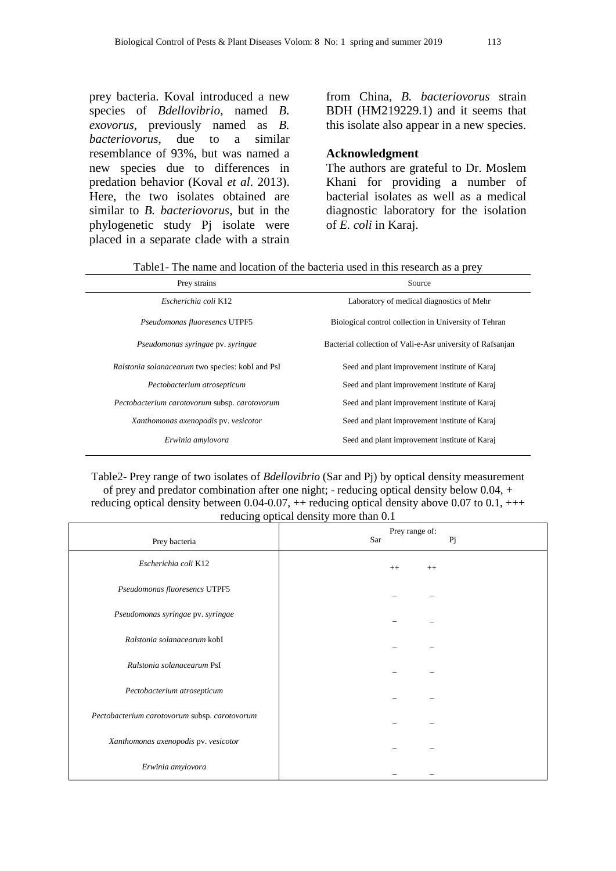prey bacteria. Koval introduced a new species of *Bdellovibrio*, named *B. exovorus*, previously named as *B. bacteriovorus*, due to a similar resemblance of 93%, but was named a new species due to differences in predation behavior (Koval *et al*. 2013). Here, the two isolates obtained are similar to *B. bacteriovorus*, but in the phylogenetic study Pj isolate were placed in a separate clade with a strain from China, *B. bacteriovorus* strain BDH (HM219229.1) and it seems that this isolate also appear in a new species.

#### **Acknowledgment**

The authors are grateful to Dr. Moslem Khani for providing a number of bacterial isolates as well as a medical diagnostic laboratory for the isolation of *E. coli* in Karaj.

| Table1- The name and location of the bacteria used in this research as a prey |  |  |  |
|-------------------------------------------------------------------------------|--|--|--|
|-------------------------------------------------------------------------------|--|--|--|

| Prey strains                                     | Source                                                     |  |
|--------------------------------------------------|------------------------------------------------------------|--|
| Escherichia coli K12                             | Laboratory of medical diagnostics of Mehr                  |  |
| <i>Pseudomonas fluoresencs</i> UTPF5             | Biological control collection in University of Tehran      |  |
| Pseudomonas syringae pv. syringae                | Bacterial collection of Vali-e-Asr university of Rafsanjan |  |
| Ralstonia solanacearum two species: kobI and PsI | Seed and plant improvement institute of Karaj              |  |
| Pectobacterium atrosepticum                      | Seed and plant improvement institute of Karaj              |  |
| Pectobacterium carotovorum subsp. carotovorum    | Seed and plant improvement institute of Karaj              |  |
| Xanthomonas axenopodis pv. vesicotor             | Seed and plant improvement institute of Karaj              |  |
| Erwinia amylovora                                | Seed and plant improvement institute of Karaj              |  |

Table2- Prey range of two isolates of *Bdellovibrio* (Sar and Pj) by optical density measurement of prey and predator combination after one night; - reducing optical density below  $0.04$ , + reducing optical density between  $0.04$ -0.07,  $++$  reducing optical density above 0.07 to 0.1,  $++$ reducing optical density more than 0.1

| Prey bacteria                                 | Prey range of:<br>Sar<br>Pj |
|-----------------------------------------------|-----------------------------|
| Escherichia coli K12                          | $++$<br>$^{++}$             |
| Pseudomonas fluoresencs UTPF5                 |                             |
| Pseudomonas syringae pv. syringae             |                             |
| Ralstonia solanacearum kobI                   |                             |
| Ralstonia solanacearum PsI                    |                             |
| Pectobacterium atrosepticum                   |                             |
| Pectobacterium carotovorum subsp. carotovorum |                             |
| Xanthomonas axenopodis pv. vesicotor          |                             |
| Erwinia amylovora                             |                             |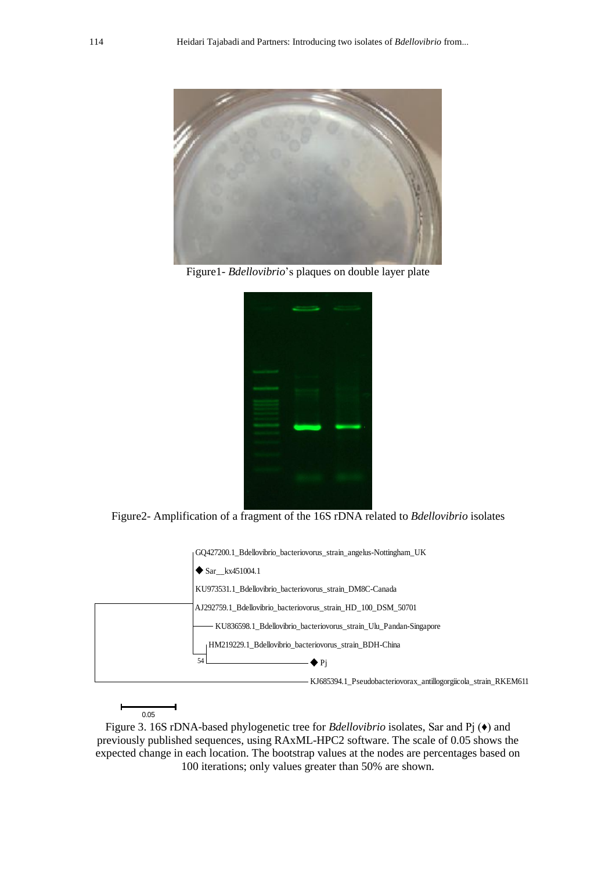

Figure1*- Bdellovibrio*'s plaques on double layer plate



Figure2- Amplification of a fragment of the 16S rDNA related to *Bdellovibrio* isolates



0.05

Figure 3. 16S rDNA-based phylogenetic tree for *Bdellovibrio* isolates, Sar and Pj (♦) and previously published sequences, using RAxML-HPC2 software. The scale of 0.05 shows the expected change in each location. The bootstrap values at the nodes are percentages based on 100 iterations; only values greater than 50% are shown.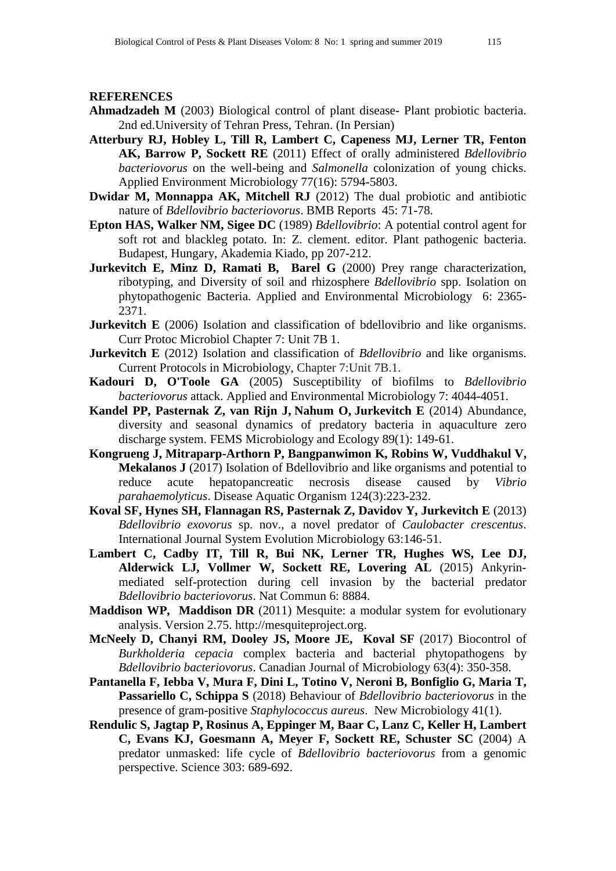#### **REFERENCES**

- **Ahmadzadeh M** (2003) Biological control of plant disease- Plant probiotic bacteria. 2nd ed.University of Tehran Press, Tehran. (In Persian)
- **Atterbury RJ, Hobley L, Till R, Lambert C, Capeness MJ, Lerner TR, Fenton AK, Barrow P, Sockett RE** (2011) Effect of orally administered *Bdellovibrio bacteriovorus* on the well-being and *Salmonella* colonization of young chicks. Applied Environment Microbiology 77(16): 5794-5803.
- **Dwidar M, Monnappa AK, Mitchell RJ** (2012) The dual probiotic and antibiotic nature of *Bdellovibrio bacteriovorus*. BMB Reports 45: 71-78.
- **Epton HAS, Walker NM, Sigee DC** (1989) *Bdellovibrio*: A potential control agent for soft rot and blackleg potato. In: Z. clement. editor. Plant pathogenic bacteria. Budapest, Hungary, Akademia Kiado, pp 207-212.
- **Jurkevitch E, Minz D, Ramati B, Barel G** (2000) Prey range characterization, ribotyping, and Diversity of soil and rhizosphere *Bdellovibrio* spp. Isolation on phytopathogenic Bacteria. Applied and Environmental Microbiology 6: 2365- 2371.
- **Jurkevitch E** (2006) Isolation and classification of bdellovibrio and like organisms. Curr Protoc Microbiol Chapter 7: Unit 7B 1.
- **Jurkevitch E** (2012) Isolation and classification of *Bdellovibrio* and like organisms. Current Protocols in Microbiology, Chapter 7:Unit 7B.1.
- **Kadouri D, O'Toole GA** (2005) Susceptibility of biofilms to *Bdellovibrio bacteriovorus* attack. Applied and Environmental Microbiology 7: 4044-4051.
- **Kandel PP, Pasternak Z, van Rijn J, Nahum O, Jurkevitch E** (2014) Abundance, diversity and seasonal dynamics of predatory bacteria in aquaculture zero discharge system. FEMS Microbiology and Ecology 89(1): 149-61.
- **Kongrueng J, Mitraparp-Arthorn P, Bangpanwimon K, Robins W, Vuddhakul V, Mekalanos J** (2017) Isolation of Bdellovibrio and like organisms and potential to reduce acute hepatopancreatic necrosis disease caused by *Vibrio parahaemolyticus*. Disease Aquatic Organism 124(3):223-232.
- **Koval SF, Hynes SH, Flannagan RS, Pasternak Z, Davidov Y, Jurkevitch E** (2013) *Bdellovibrio exovorus* sp. nov., a novel predator of *Caulobacter crescentus*. International Journal System Evolution Microbiology 63:146-51.
- **Lambert C, Cadby IT, Till R, Bui NK, Lerner TR, Hughes WS, Lee DJ, Alderwick LJ, Vollmer W, Sockett RE, Lovering AL** (2015) Ankyrinmediated self-protection during cell invasion by the bacterial predator *Bdellovibrio bacteriovorus*. Nat Commun 6: 8884.
- **Maddison WP, Maddison DR** (2011) Mesquite: a modular system for evolutionary analysis. Version 2.75. http://mesquiteproject.org.
- **McNeely D, Chanyi RM, Dooley JS, Moore JE, Koval SF** (2017) Biocontrol of *Burkholderia cepacia* complex bacteria and bacterial phytopathogens by *Bdellovibrio bacteriovorus*. Canadian Journal of Microbiology 63(4): 350-358.
- **Pantanella F, Iebba V, Mura F, Dini L, Totino V, Neroni B, Bonfiglio G, Maria T, Passariello C, Schippa S** (2018) Behaviour of *Bdellovibrio bacteriovorus* in the presence of gram-positive *Staphylococcus aureus*. New Microbiology 41(1).
- **Rendulic S, Jagtap P, Rosinus A, Eppinger M, Baar C, Lanz C, Keller H, Lambert C, Evans KJ, Goesmann A, Meyer F, Sockett RE, Schuster SC** (2004) A predator unmasked: life cycle of *Bdellovibrio bacteriovorus* from a genomic perspective. Science 303: 689-692.